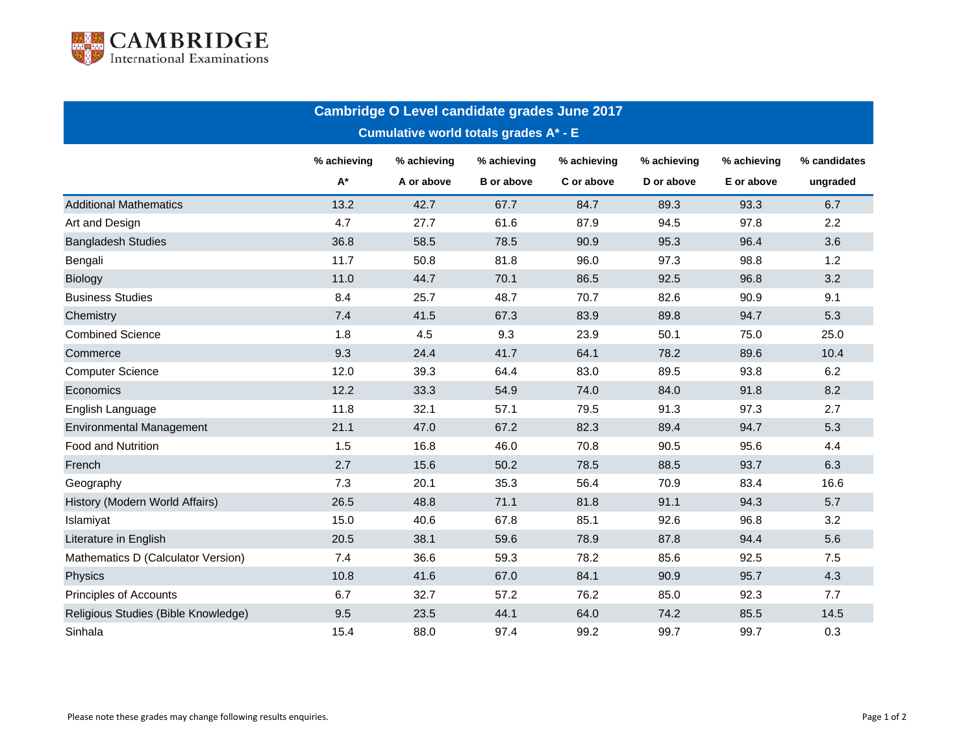

| Cambridge O Level candidate grades June 2017<br><b>Cumulative world totals grades A* - E</b> |      |            |                   |            |            |            |          |  |  |  |  |
|----------------------------------------------------------------------------------------------|------|------------|-------------------|------------|------------|------------|----------|--|--|--|--|
|                                                                                              |      |            |                   |            |            |            |          |  |  |  |  |
|                                                                                              | A*   | A or above | <b>B</b> or above | C or above | D or above | E or above | ungraded |  |  |  |  |
| <b>Additional Mathematics</b>                                                                | 13.2 | 42.7       | 67.7              | 84.7       | 89.3       | 93.3       | 6.7      |  |  |  |  |
| Art and Design                                                                               | 4.7  | 27.7       | 61.6              | 87.9       | 94.5       | 97.8       | 2.2      |  |  |  |  |
| <b>Bangladesh Studies</b>                                                                    | 36.8 | 58.5       | 78.5              | 90.9       | 95.3       | 96.4       | 3.6      |  |  |  |  |
| Bengali                                                                                      | 11.7 | 50.8       | 81.8              | 96.0       | 97.3       | 98.8       | 1.2      |  |  |  |  |
| <b>Biology</b>                                                                               | 11.0 | 44.7       | 70.1              | 86.5       | 92.5       | 96.8       | 3.2      |  |  |  |  |
| <b>Business Studies</b>                                                                      | 8.4  | 25.7       | 48.7              | 70.7       | 82.6       | 90.9       | 9.1      |  |  |  |  |
| Chemistry                                                                                    | 7.4  | 41.5       | 67.3              | 83.9       | 89.8       | 94.7       | 5.3      |  |  |  |  |
| <b>Combined Science</b>                                                                      | 1.8  | 4.5        | 9.3               | 23.9       | 50.1       | 75.0       | 25.0     |  |  |  |  |
| Commerce                                                                                     | 9.3  | 24.4       | 41.7              | 64.1       | 78.2       | 89.6       | 10.4     |  |  |  |  |
| <b>Computer Science</b>                                                                      | 12.0 | 39.3       | 64.4              | 83.0       | 89.5       | 93.8       | 6.2      |  |  |  |  |
| Economics                                                                                    | 12.2 | 33.3       | 54.9              | 74.0       | 84.0       | 91.8       | 8.2      |  |  |  |  |
| English Language                                                                             | 11.8 | 32.1       | 57.1              | 79.5       | 91.3       | 97.3       | 2.7      |  |  |  |  |
| <b>Environmental Management</b>                                                              | 21.1 | 47.0       | 67.2              | 82.3       | 89.4       | 94.7       | 5.3      |  |  |  |  |
| <b>Food and Nutrition</b>                                                                    | 1.5  | 16.8       | 46.0              | 70.8       | 90.5       | 95.6       | 4.4      |  |  |  |  |
| French                                                                                       | 2.7  | 15.6       | 50.2              | 78.5       | 88.5       | 93.7       | 6.3      |  |  |  |  |
| Geography                                                                                    | 7.3  | 20.1       | 35.3              | 56.4       | 70.9       | 83.4       | 16.6     |  |  |  |  |
| History (Modern World Affairs)                                                               | 26.5 | 48.8       | 71.1              | 81.8       | 91.1       | 94.3       | 5.7      |  |  |  |  |
| Islamiyat                                                                                    | 15.0 | 40.6       | 67.8              | 85.1       | 92.6       | 96.8       | 3.2      |  |  |  |  |
| Literature in English                                                                        | 20.5 | 38.1       | 59.6              | 78.9       | 87.8       | 94.4       | 5.6      |  |  |  |  |
| Mathematics D (Calculator Version)                                                           | 7.4  | 36.6       | 59.3              | 78.2       | 85.6       | 92.5       | 7.5      |  |  |  |  |
| Physics                                                                                      | 10.8 | 41.6       | 67.0              | 84.1       | 90.9       | 95.7       | 4.3      |  |  |  |  |
| Principles of Accounts                                                                       | 6.7  | 32.7       | 57.2              | 76.2       | 85.0       | 92.3       | 7.7      |  |  |  |  |
| Religious Studies (Bible Knowledge)                                                          | 9.5  | 23.5       | 44.1              | 64.0       | 74.2       | 85.5       | 14.5     |  |  |  |  |
| Sinhala                                                                                      | 15.4 | 88.0       | 97.4              | 99.2       | 99.7       | 99.7       | 0.3      |  |  |  |  |